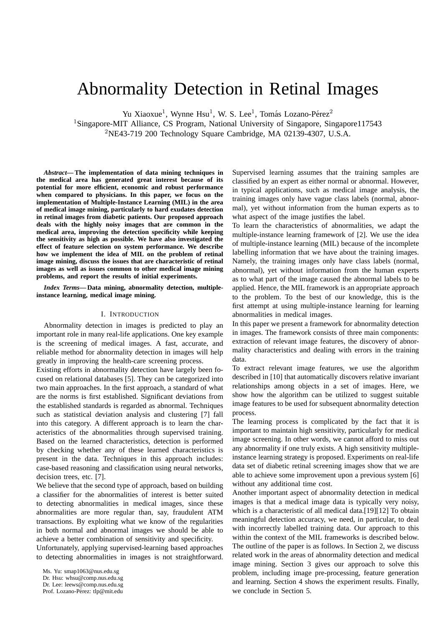# Abnormality Detection in Retinal Images

Yu Xiaoxue<sup>1</sup>, Wynne Hsu<sup>1</sup>, W. S. Lee<sup>1</sup>, Tomás Lozano-Pérez<sup>2</sup>

<sup>1</sup>Singapore-MIT Alliance, CS Program, National University of Singapore, Singapore117543 <sup>2</sup>NE43-719 200 Technology Square Cambridge, MA 02139-4307, U.S.A.

*Abstract***—The implementation of data mining techniques in the medical area has generated great interest because of its potential for more efficient, economic and robust performance when compared to physicians. In this paper, we focus on the implementation of Multiple-Instance Learning (MIL) in the area of medical image mining, particularly to hard exudates detection in retinal images from diabetic patients. Our proposed approach deals with the highly noisy images that are common in the medical area, improving the detection specificity while keeping the sensitivity as high as possible. We have also investigated the effect of feature selection on system performance. We describe how we implement the idea of MIL on the problem of retinal image mining, discuss the issues that are characteristic of retinal images as well as issues common to other medical image mining problems, and report the results of initial experiments.**

*Index Terms***— Data mining, abnormality detection, multipleinstance learning, medical image mining.**

## I. INTRODUCTION

Abnormality detection in images is predicted to play an important role in many real-life applications. One key example is the screening of medical images. A fast, accurate, and reliable method for abnormality detection in images will help greatly in improving the health-care screening process.

Existing efforts in abnormality detection have largely been focused on relational databases [5]. They can be categorized into two main approaches. In the first approach, a standard of what are the norms is first established. Significant deviations from the established standards is regarded as abnormal. Techniques such as statistical deviation analysis and clustering [7] fall into this category. A different approach is to learn the characteristics of the abnormalities through supervised training. Based on the learned characteristics, detection is performed by checking whether any of these learned characteristics is present in the data. Techniques in this approach includes: case-based reasoning and classification using neural networks, decision trees, etc. [7].

We believe that the second type of approach, based on building a classifier for the abnormalities of interest is better suited to detecting abnormalities in medical images, since these abnormalities are more regular than, say, fraudulent ATM transactions. By exploiting what we know of the regularities in both normal and abnormal images we should be able to achieve a better combination of sensitivity and specificity.

Unfortunately, applying supervised-learning based approaches to detecting abnormalities in images is not straightforward.

Supervised learning assumes that the training samples are classified by an expert as either normal or abnormal. However, in typical applications, such as medical image analysis, the training images only have vague class labels (normal, abnormal), yet without information from the human experts as to what aspect of the image justifies the label.

To learn the characteristics of abnormalities, we adapt the multiple-instance learning framework of [2]. We use the idea of multiple-instance learning (MIL) because of the incomplete labelling information that we have about the training images. Namely, the training images only have class labels (normal, abnormal), yet without information from the human experts as to what part of the image caused the abnormal labels to be applied. Hence, the MIL framework is an appropriate approach to the problem. To the best of our knowledge, this is the first attempt at using multiple-instance learning for learning abnormalities in medical images.

In this paper we present a framework for abnormality detection in images. The framework consists of three main components: extraction of relevant image features, the discovery of abnormality characteristics and dealing with errors in the training data.

To extract relevant image features, we use the algorithm described in [10] that automatically discovers relative invariant relationships among objects in a set of images. Here, we show how the algorithm can be utilized to suggest suitable image features to be used for subsequent abnormality detection process.

The learning process is complicated by the fact that it is important to maintain high sensitivity, particularly for medical image screening. In other words, we cannot afford to miss out any abnormality if one truly exists. A high sensitivity multipleinstance learning strategy is proposed. Experiments on real-life data set of diabetic retinal screening images show that we are able to achieve some improvement upon a previous system [6] without any additional time cost.

Another important aspect of abnormality detection in medical images is that a medical image data is typically very noisy, which is a characteristic of all medical data.[19][12] To obtain meaningful detection accuracy, we need, in particular, to deal with incorrectly labelled training data. Our approach to this within the context of the MIL frameworks is described below. The outline of the paper is as follows. In Section 2, we discuss related work in the areas of abnormality detection and medical image mining. Section 3 gives our approach to solve this problem, including image pre-processing, feature generation and learning. Section 4 shows the experiment results. Finally, we conclude in Section 5.

Ms. Yu: smap1063@nus.edu.sg

Dr. Hsu: whsu@comp.nus.edu.sg

Dr. Lee: leews@comp.nus.edu.sg Prof. Lozano-Pérez: tlp@mit.edu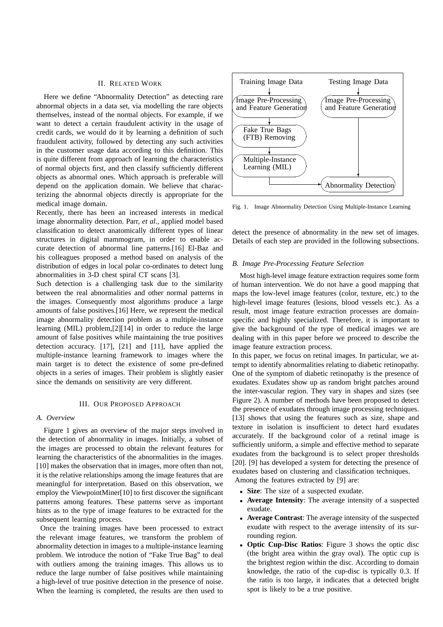## II. RELATED WORK

Here we define "Abnormality Detection" as detecting rare abnormal objects in a data set, via modelling the rare objects themselves, instead of the normal objects. For example, if we want to detect a certain fraudulent activity in the usage of credit cards, we would do it by learning a definition of such fraudulent activity, followed by detecting any such activities in the customer usage data according to this definition. This is quite different from approach of learning the characteristics of normal objects first, and then classify sufficiently different objects as abnormal ones. Which approach is preferable will depend on the application domain. We believe that characterizing the abnormal objects directly is appropriate for the medical image domain.

Recently, there has been an increased interests in medical image abnormality detection. Parr, *et al.*, applied model based classification to detect anatomically different types of linear structures in digital mammogram, in order to enable accurate detection of abnormal line patterns.[16] El-Baz and his colleagues proposed a method based on analysis of the distribution of edges in local polar co-ordinates to detect lung abnormalities in 3-D chest spiral CT scans [3].

Such detection is a challenging task due to the similarity between the real abnormalities and other normal patterns in the images. Consequently most algorithms produce a large amounts of false positives.[16] Here, we represent the medical image abnormality detection problem as a multiple-instance learning (MIL) problem,[2][14] in order to reduce the large amount of false positives while maintaining the true positives detection accuracy. [17], [21] and [11], have applied the multiple-instance learning framework to images where the main target is to detect the existence of some pre-defined objects in a series of images. Their problem is slightly easier since the demands on sensitivity are very different.

# III. OUR PROPOSED APPROACH

## *A. Overview*

Figure 1 gives an overview of the major steps involved in the detection of abnormality in images. Initially, a subset of the images are processed to obtain the relevant features for learning the characteristics of the abnormalities in the images. [10] makes the observation that in images, more often than not, it is the relative relationships among the image features that are meaningful for interpretation. Based on this observation, we employ the ViewpointMiner[10] to first discover the significant patterns among features. These patterns serve as important hints as to the type of image features to be extracted for the subsequent learning process.

Once the training images have been processed to extract the relevant image features, we transform the problem of abnormality detection in images to a multiple-instance learning problem. We introduce the notion of "Fake True Bag" to deal with outliers among the training images. This allows us to reduce the large number of false positives while maintaining a high-level of true positive detection in the presence of noise. When the learning is completed, the results are then used to



Fig. 1. Image Abnormality Detection Using Multiple-Instance Learning

detect the presence of abnormality in the new set of images. Details of each step are provided in the following subsections.

# *B. Image Pre-Processing Feature Selection*

Most high-level image feature extraction requires some form of human intervention. We do not have a good mapping that maps the low-level image features (color, texture, etc.) to the high-level image features (lesions, blood vessels etc.). As a result, most image feature extraction processes are domainspecific and highly specialized. Therefore, it is important to give the background of the type of medical images we are dealing with in this paper before we proceed to describe the image feature extraction process.

In this paper, we focus on retinal images. In particular, we attempt to identify abnormalities relating to diabetic retinopathy. One of the symptom of diabetic retinopathy is the presence of exudates. Exudates show up as random bright patches around the inter-vascular region. They vary in shapes and sizes (see Figure 2). A number of methods have been proposed to detect the presence of exudates through image processing techniques. [13] shows that using the features such as size, shape and texture in isolation is insufficient to detect hard exudates accurately. If the background color of a retinal image is sufficiently uniform, a simple and effective method to separate exudates from the background is to select proper thresholds [20]. [9] has developed a system for detecting the presence of exudates based on clustering and classification techniques. Among the features extracted by [9] are:

- **Size**: The size of a suspected exudate.
- **Average Intensity**: The average intensity of a suspected exudate.
- **Average Contrast**: The average intensity of the suspected exudate with respect to the average intensity of its surrounding region.
- **Optic Cup-Disc Ratios**: Figure 3 shows the optic disc (the bright area within the gray oval). The optic cup is the brightest region within the disc. According to domain knowledge, the ratio of the cup-disc is typically 0.3. If the ratio is too large, it indicates that a detected bright spot is likely to be a true positive.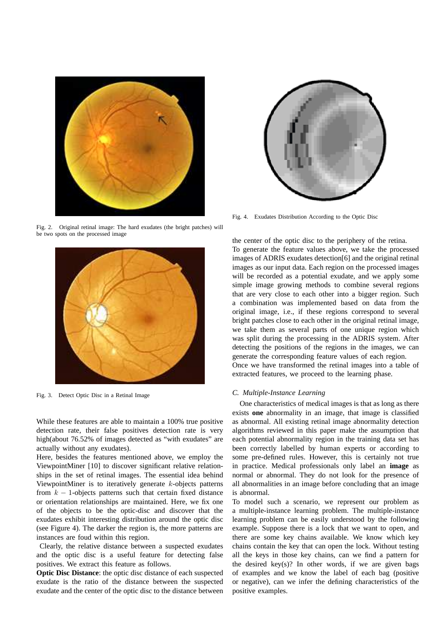

Fig. 2. Original retinal image: The hard exudates (the bright patches) will be two spots on the processed image



Fig. 3. Detect Optic Disc in a Retinal Image

While these features are able to maintain a 100% true positive detection rate, their false positives detection rate is very high(about 76.52% of images detected as "with exudates" are actually without any exudates).

Here, besides the features mentioned above, we employ the ViewpointMiner [10] to discover significant relative relationships in the set of retinal images. The essential idea behind ViewpointMiner is to iteratively generate  $k$ -objects patterns from  $k - 1$ -objects patterns such that certain fixed distance or orientation relationships are maintained. Here, we fix one of the objects to be the optic-disc and discover that the exudates exhibit interesting distribution around the optic disc (see Figure 4). The darker the region is, the more patterns are instances are foud within this region.

Clearly, the relative distance between a suspected exudates and the optic disc is a useful feature for detecting false positives. We extract this feature as follows.

**Optic Disc Distance**: the optic disc distance of each suspected exudate is the ratio of the distance between the suspected exudate and the center of the optic disc to the distance between



Fig. 4. Exudates Distribution According to the Optic Disc

the center of the optic disc to the periphery of the retina. To generate the feature values above, we take the processed images of ADRIS exudates detection[6] and the original retinal images as our input data. Each region on the processed images will be recorded as a potential exudate, and we apply some simple image growing methods to combine several regions that are very close to each other into a bigger region. Such a combination was implemented based on data from the original image, i.e., if these regions correspond to several bright patches close to each other in the original retinal image, we take them as several parts of one unique region which was split during the processing in the ADRIS system. After detecting the positions of the regions in the images, we can generate the corresponding feature values of each region. Once we have transformed the retinal images into a table of extracted features, we proceed to the learning phase.

# *C. Multiple-Instance Learning*

One characteristics of medical images is that as long as there exists **one** abnormality in an image, that image is classified as abnormal. All existing retinal image abnormality detection algorithms reviewed in this paper make the assumption that each potential abnormality region in the training data set has been correctly labelled by human experts or according to some pre-defined rules. However, this is certainly not true in practice. Medical professionals only label an **image** as normal or abnormal. They do not look for the presence of all abnormalities in an image before concluding that an image is abnormal.

To model such a scenario, we represent our problem as a multiple-instance learning problem. The multiple-instance learning problem can be easily understood by the following example. Suppose there is a lock that we want to open, and there are some key chains available. We know which key chains contain the key that can open the lock. Without testing all the keys in those key chains, can we find a pattern for the desired key(s)? In other words, if we are given bags of examples and we know the label of each bag (positive or negative), can we infer the defining characteristics of the positive examples.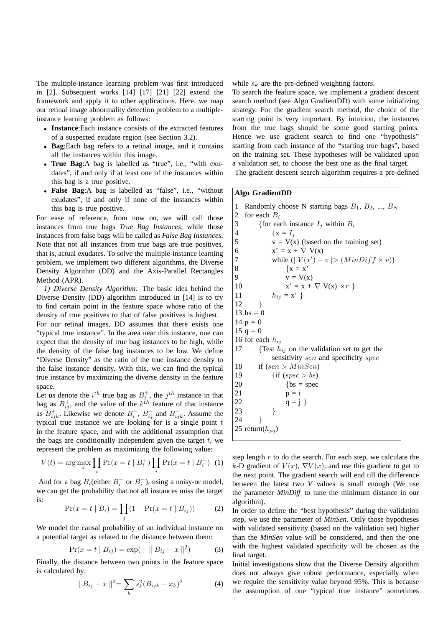The multiple-instance learning problem was first introduced in [2]. Subsequent works [14] [17] [21] [22] extend the framework and apply it to other applications. Here, we map our retinal image abnormality detection problem to a multipleinstance learning problem as follows:

- **Instance**:Each instance consists of the extracted features of a suspected exudate region (see Section 3.2).
- **Bag**:Each bag refers to a retinal image, and it contains all the instances within this image.
- **True Bag**:A bag is labelled as "true", i.e., "with exudates", if and only if at least one of the instances within this bag is a true positive.
- **False Bag**:A bag is labelled as "false", i.e., "without exudates", if and only if none of the instances within this bag is true positive.

For ease of reference, from now on, we will call those instances from true bags *True Bag Instances*, while those instances from false bags will be called as *False Bag Instances*. Note that not all instances from true bags are true positives, that is, actual exudates. To solve the multiple-instance learning problem, we implement two different algorithms, the Diverse Density Algorithm (DD) and the Axis-Parallel Rectangles Method (APR).

*1) Diverse Density Algorithm:* The basic idea behind the Diverse Density (DD) algorithm introduced in [14] is to try to find certain point in the feature space whose ratio of the density of true positives to that of false positives is highest. For our retinal images, DD assumes that there exists one "typical true instance". In the area near this instance, one can expect that the density of true bag instances to be high, while the density of the false bag instances to be low. We define "Diverse Density" as the ratio of the true instance density to the false instance density. With this, we can find the typical true instance by maximizing the diverse density in the feature space.

Let us denote the  $i^{th}$  true bag as  $B_i^+$ , the  $j^{th}$  instance in that bag as  $B_{ij}^{+}$ , and the value of the  $k^{\dot{t}h}$  feature of that instance as  $B_{ijk}^+$ . Likewise we denote  $B_i^ \overline{i}$ ,  $B_{ij}^-$  and  $B_{ij}^ \bar{i}$ <sub>ijk</sub>. Assume the typical true instance we are looking for is a single point  $t$ in the feature space, and with the additional assumption that the bags are conditionally independent given the target  $t$ , we represent the problem as maximizing the following value:

$$
V(t) = \arg\max_{x} \prod_{i} \Pr(x = t \mid B_{i}^{+}) \prod_{i} \Pr(x = t \mid B_{i}^{-}) \tag{1}
$$

And for a bag  $B_i$  (either  $B_i^+$  or  $B_i^ \binom{1}{i}$ , using a noisy-or model, we can get the probability that not all instances miss the target is:

$$
\Pr(x = t \mid B_i) = \prod_j (1 - \Pr(x = t \mid B_{ij}))
$$
 (2)

We model the causal probability of an individual instance on a potential target as related to the distance between them:

$$
Pr(x = t | B_{ij}) = exp(- || B_{ij} - x ||^2)
$$
 (3)

Finally, the distance between two points in the feature space is calculated by:

$$
\|B_{ij} - x\|^2 = \sum_k s_k^2 (B_{ijk} - x_k)^2 \tag{4}
$$

while  $s_k$  are the pre-defined weighting factors.

To search the feature space, we implement a gradient descent search method (see Algo GradientDD) with some initializing strategy. For the gradient search method, the choice of the starting point is very important. By intuition, the instances from the true bags should be some good starting points. Hence we use gradient search to find one "hypothesis" starting from each instance of the "starting true bags", based on the training set. These hypotheses will be validated upon a validation set, to choose the best one as the final target.

The gradient descent search algorithm requires a pre-defined

# **Algo GradientDD**

Randomly choose N starting bags  $B_1$ ,  $B_2$ , ...,  $B_N$ 2 for each  $B_i$ 3 {for each instance  $I_i$  within  $B_i$ 4  $\{x = I_j\}$  $y = V(x)$  (based on the training set) 6  $x' = x + \nabla V(x)$ 7 while  $(|V(x') - v| > (MinDiff \times v))$ 8  $\{x = x\}$ 9  $v = V(x)$ 10  $x' = x + \nabla V(x) \times r$ 11  $h_{ij} = \mathbf{x}'$ 12 } 13  $bs = 0$  $14 p = 0$ 15  $q = 0$ 16 for each  $h_{ij}$ 17 {Test  $h_{ij}$  on the validation set to get the sensitivity sen and specificity spec 18 if  $(sen > MinSen)$ 19  $\{if (spec > bs)\}$ 20  ${bs = spec}$ 21  $p = i$ 22  $q = j$ 23 } 24 } 25 return( $h_{pq}$ )

step length  $r$  to do the search. For each step, we calculate the k-D gradient of  $V(x)$ ,  $\nabla V(x)$ , and use this gradient to get to the next point. The gradient search will end till the difference between the latest two *V* values is small enough (We use the parameter *MinDiff* to tune the minimum distance in our algorithm).

In order to define the "best hypothesis" during the validation step, we use the parameter of *MinSen*. Only those hypotheses with validated sensitivity (based on the validation set) higher than the *MinSen* value will be considered, and then the one with the highest validated specificity will be chosen as the final target.

Initial investigations show that the Diverse Density algorithm does not always give robust performance, especially when we require the sensitivity value beyond 95%. This is because the assumption of one "typical true instance" sometimes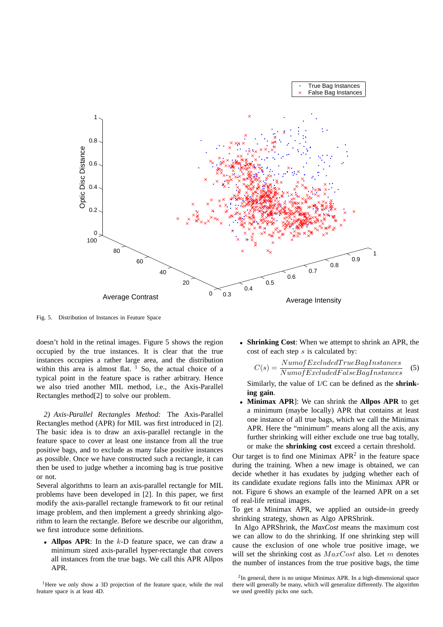

Fig. 5. Distribution of Instances in Feature Space

doesn't hold in the retinal images. Figure 5 shows the region occupied by the true instances. It is clear that the true instances occupies a rather large area, and the distribution within this area is almost flat.  $\frac{1}{1}$  So, the actual choice of a typical point in the feature space is rather arbitrary. Hence we also tried another MIL method, i.e., the Axis-Parallel Rectangles method[2] to solve our problem.

*2) Axis-Parallel Rectangles Method:* The Axis-Parallel Rectangles method (APR) for MIL was first introduced in [2]. The basic idea is to draw an axis-parallel rectangle in the feature space to cover at least one instance from all the true positive bags, and to exclude as many false positive instances as possible. Once we have constructed such a rectangle, it can then be used to judge whether a incoming bag is true positive or not.

Several algorithms to learn an axis-parallel rectangle for MIL problems have been developed in [2]. In this paper, we first modify the axis-parallel rectangle framework to fit our retinal image problem, and then implement a greedy shrinking algorithm to learn the rectangle. Before we describe our algorithm, we first introduce some definitions.

• **Allpos APR**: In the k-D feature space, we can draw a minimum sized axis-parallel hyper-rectangle that covers all instances from the true bags. We call this APR Allpos APR.

<sup>1</sup>Here we only show a 3D projection of the feature space, while the real feature space is at least 4D.

• **Shrinking Cost**: When we attempt to shrink an APR, the cost of each step  $s$  is calculated by:

$$
C(s) = \frac{Num of ExcludedTrueBagInstances}{Num of ExcludedFalseBagInstances}
$$
 (5)

Similarly, the value of 1/C can be defined as the **shrinking gain**.

• **Minimax APR**]: We can shrink the **Allpos APR** to get a minimum (maybe locally) APR that contains at least one instance of all true bags, which we call the Minimax APR. Here the "minimum" means along all the axis, any further shrinking will either exclude one true bag totally, or make the **shrinking cost** exceed a certain threshold.

Our target is to find one Minimax  $APR<sup>2</sup>$  in the feature space during the training. When a new image is obtained, we can decide whether it has exudates by judging whether each of its candidate exudate regions falls into the Minimax APR or not. Figure 6 shows an example of the learned APR on a set of real-life retinal images.

To get a Minimax APR, we applied an outside-in greedy shrinking strategy, shown as Algo APRShrink.

In Algo APRShrink, the *MaxCost* means the maximum cost we can allow to do the shrinking. If one shrinking step will cause the exclusion of one whole true positive image, we will set the shrinking cost as  $MaxCost$  also. Let m denotes the number of instances from the true positive bags, the time

 $2$ In general, there is no unique Minimax APR. In a high-dimensional space there will generally be many, which will generalize differently. The algorithm we used greedily picks one such.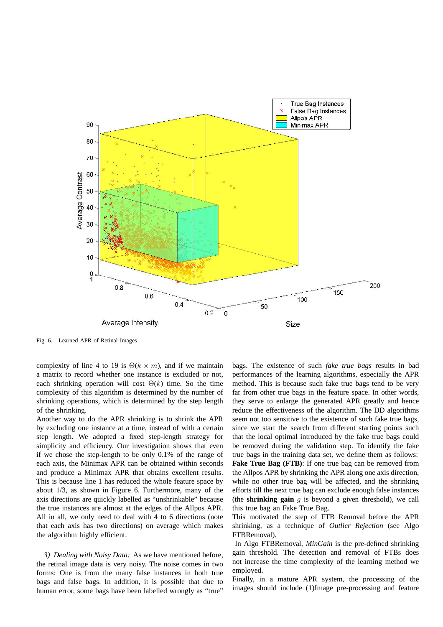

Fig. 6. Learned APR of Retinal Images

complexity of line 4 to 19 is  $\Theta(k \times m)$ , and if we maintain a matrix to record whether one instance is excluded or not, each shrinking operation will cost  $\Theta(k)$  time. So the time complexity of this algorithm is determined by the number of shrinking operations, which is determined by the step length of the shrinking.

Another way to do the APR shrinking is to shrink the APR by excluding one instance at a time, instead of with a certain step length. We adopted a fixed step-length strategy for simplicity and efficiency. Our investigation shows that even if we chose the step-length to be only 0.1% of the range of each axis, the Minimax APR can be obtained within seconds and produce a Minimax APR that obtains excellent results. This is because line 1 has reduced the whole feature space by about 1/3, as shown in Figure 6. Furthermore, many of the axis directions are quickly labelled as "unshrinkable" because the true instances are almost at the edges of the Allpos APR. All in all, we only need to deal with 4 to 6 directions (note that each axis has two directions) on average which makes the algorithm highly efficient.

*3) Dealing with Noisy Data:* As we have mentioned before, the retinal image data is very noisy. The noise comes in two forms: One is from the many false instances in both true bags and false bags. In addition, it is possible that due to human error, some bags have been labelled wrongly as "true"

bags. The existence of such *fake true bags* results in bad performances of the learning algorithms, especially the APR method. This is because such fake true bags tend to be very far from other true bags in the feature space. In other words, they serve to enlarge the generated APR greatly and hence reduce the effectiveness of the algorithm. The DD algorithms seem not too sensitive to the existence of such fake true bags, since we start the search from different starting points such that the local optimal introduced by the fake true bags could be removed during the validation step. To identify the fake true bags in the training data set, we define them as follows: **Fake True Bag (FTB)**: If one true bag can be removed from the Allpos APR by shrinking the APR along one axis direction, while no other true bag will be affected, and the shrinking efforts till the next true bag can exclude enough false instances (the **shrinking gain**  $q$  is beyond a given threshold), we call this true bag an Fake True Bag.

This motivated the step of FTB Removal before the APR shrinking, as a technique of *Outlier Rejection* (see Algo FTBRemoval).

In Algo FTBRemoval, *MinGain* is the pre-defined shrinking gain threshold. The detection and removal of FTBs does not increase the time complexity of the learning method we employed.

Finally, in a mature APR system, the processing of the images should include (1)Image pre-processing and feature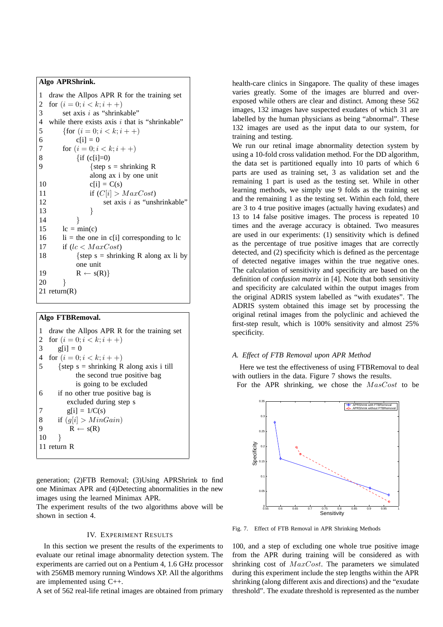**Algo APRShrink.** 1 draw the Allpos APR R for the training set 2 for  $(i = 0; i < k; i++)$ <br>3 set axis i as "shrink set axis  $i$  as "shrinkable" 4 while there exists axis  $i$  that is "shrinkable" 5 {for  $(i = 0; i < k; i++)$ } 6 c[i] = 0 7 for  $(i = 0; i < k; i++)$ 8  $\{if (c[i]=0)\}$ 9  $\{step s = shrinking R\}$ along ax i by one unit 10 c[i] =  $C(s)$ 11 if  $(C[i] > MaxCost)$ 12 set axis i as "unshrinkable" 13 } 14 } 15  $\log = \min(c)$  $16$  li = the one in c[i] corresponding to lc 17 if  $(lc < MaxCost)$ 18  $\{step s = shrinking R along ax li by$ one unit 19  $R \leftarrow s(R)$ 20 } 21 return(R)

# **Algo FTBRemoval.**

1 draw the Allpos APR R for the training set 2 for  $(i = 0; i < k; i++)$ 3  $g[i] = 0$ 4 for  $(i = 0; i < k; i++)$ 5 {step s = shrinking R along axis i till the second true positive bag is going to be excluded 6 if no other true positive bag is excluded during step s 7  $g[i] = 1/C(s)$ 8 if  $(q[i] > MinGain)$ 9  $R \leftarrow s(R)$  $10 \quad \}$ 11 return R

generation; (2)FTB Removal; (3)Using APRShrink to find one Minimax APR and (4)Detecting abnormalities in the new images using the learned Minimax APR.

The experiment results of the two algorithms above will be shown in section 4.

# IV. EXPERIMENT RESULTS

In this section we present the results of the experiments to evaluate our retinal image abnormality detection system. The experiments are carried out on a Pentium 4, 1.6 GHz processor with 256MB memory running Windows XP. All the algorithms are implemented using C++.

A set of 562 real-life retinal images are obtained from primary

health-care clinics in Singapore. The quality of these images varies greatly. Some of the images are blurred and overexposed while others are clear and distinct. Among these 562 images, 132 images have suspected exudates of which 31 are labelled by the human physicians as being "abnormal". These 132 images are used as the input data to our system, for training and testing.

We run our retinal image abnormality detection system by using a 10-fold cross validation method. For the DD algorithm, the data set is partitioned equally into 10 parts of which 6 parts are used as training set, 3 as validation set and the remaining 1 part is used as the testing set. While in other learning methods, we simply use 9 folds as the training set and the remaining 1 as the testing set. Within each fold, there are 3 to 4 true positive images (actually having exudates) and 13 to 14 false positive images. The process is repeated 10 times and the average accuracy is obtained. Two measures are used in our experiments: (1) sensitivity which is defined as the percentage of true positive images that are correctly detected, and (2) specificity which is defined as the percentage of detected negative images within the true negative ones. The calculation of sensitivity and specificity are based on the definition of *confusion matrix* in [4]. Note that both sensitivity and specificity are calculated within the output images from the original ADRIS system labelled as "with exudates". The ADRIS system obtained this image set by processing the original retinal images from the polyclinic and achieved the first-step result, which is 100% sensitivity and almost 25% specificity.

# *A. Effect of FTB Removal upon APR Method*

Here we test the effectiveness of using FTBRemoval to deal with outliers in the data. Figure 7 shows the results.

For the APR shrinking, we chose the MasCost to be



Fig. 7. Effect of FTB Removal in APR Shrinking Methods

100, and a step of excluding one whole true positive image from the APR during training will be considered as with shrinking cost of MaxCost. The parameters we simulated during this experiment include the step lengths within the APR shrinking (along different axis and directions) and the "exudate threshold". The exudate threshold is represented as the number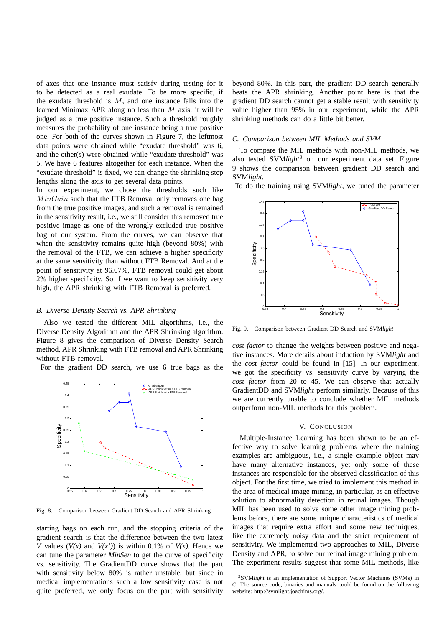of axes that one instance must satisfy during testing for it to be detected as a real exudate. To be more specific, if the exudate threshold is  $M$ , and one instance falls into the learned Minimax APR along no less than  $M$  axis, it will be judged as a true positive instance. Such a threshold roughly measures the probability of one instance being a true positive one. For both of the curves shown in Figure 7, the leftmost data points were obtained while "exudate threshold" was 6, and the other(s) were obtained while "exudate threshold" was 5. We have 6 features altogether for each instance. When the "exudate threshold" is fixed, we can change the shrinking step lengths along the axis to get several data points.

In our experiment, we chose the thresholds such like MinGain such that the FTB Removal only removes one bag from the true positive images, and such a removal is remained in the sensitivity result, i.e., we still consider this removed true positive image as one of the wrongly excluded true positive bag of our system. From the curves, we can observe that when the sensitivity remains quite high (beyond 80%) with the removal of the FTB, we can achieve a higher specificity at the same sensitivity than without FTB Removal. And at the point of sensitivity at 96.67%, FTB removal could get about 2% higher specificity. So if we want to keep sensitivity very high, the APR shrinking with FTB Removal is preferred.

#### *B. Diverse Density Search vs. APR Shrinking*

Also we tested the different MIL algorithms, i.e., the Diverse Density Algorithm and the APR Shrinking algorithm. Figure 8 gives the comparison of Diverse Density Search method, APR Shrinking with FTB removal and APR Shrinking without FTB removal.

For the gradient DD search, we use 6 true bags as the



Fig. 8. Comparison between Gradient DD Search and APR Shrinking

starting bags on each run, and the stopping criteria of the gradient search is that the difference between the two latest *V* values  $(V(x)$  and  $V(x')$  is within 0.1% of  $V(x)$ . Hence we can tune the parameter *MinSen* to get the curve of specificity vs. sensitivity. The GradientDD curve shows that the part with sensitivity below 80% is rather unstable, but since in medical implementations such a low sensitivity case is not quite preferred, we only focus on the part with sensitivity

beyond 80%. In this part, the gradient DD search generally beats the APR shrinking. Another point here is that the gradient DD search cannot get a stable result with sensitivity value higher than 95% in our experiment, while the APR shrinking methods can do a little bit better.

# *C. Comparison between MIL Methods and SVM*

To compare the MIL methods with non-MIL methods, we also tested SVM*light*<sup>3</sup> on our experiment data set. Figure 9 shows the comparison between gradient DD search and SVM*light*.

To do the training using SVM*light*, we tuned the parameter



Fig. 9. Comparison between Gradient DD Search and SVM*light*

*cost factor* to change the weights between positive and negative instances. More details about induction by SVM*light* and the *cost factor* could be found in [15]. In our experiment, we got the specificity vs. sensitivity curve by varying the *cost factor* from 20 to 45. We can observe that actually GradientDD and SVM*light* perform similarly. Because of this we are currently unable to conclude whether MIL methods outperform non-MIL methods for this problem.

# V. CONCLUSION

Multiple-Instance Learning has been shown to be an effective way to solve learning problems where the training examples are ambiguous, i.e., a single example object may have many alternative instances, yet only some of these instances are responsible for the observed classification of this object. For the first time, we tried to implement this method in the area of medical image mining, in particular, as an effective solution to abnormality detection in retinal images. Though MIL has been used to solve some other image mining problems before, there are some unique characteristics of medical images that require extra effort and some new techniques, like the extremely noisy data and the strict requirement of sensitivity. We implemented two approaches to MIL, Diverse Density and APR, to solve our retinal image mining problem. The experiment results suggest that some MIL methods, like

<sup>3</sup>SVM*light* is an implementation of Support Vector Machines (SVMs) in C. The source code, binaries and manuals could be found on the following website: http://svmlight.joachims.org/.